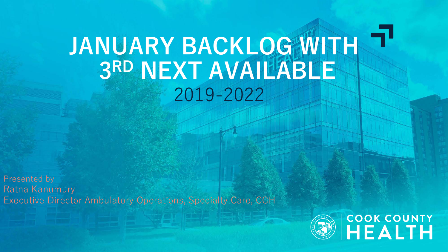# **JANUARY BACKLOG WITH 3RD NEXT AVAILABLE** 2019-2022

Presented by Ratna Kanumury Executive Director Ambulatory Operations, Specialty Care, CCH

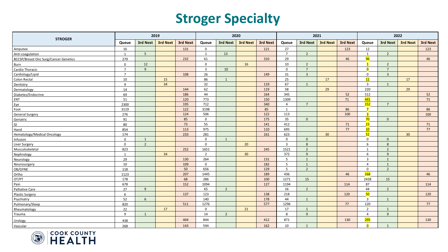#### **Stroger Specialty**

| <b>STROGER</b>                               | 2019           |                |                 |          |                | 2020           |                 |          |                 |                | 2021            |          | 2022             |                |                 |          |  |
|----------------------------------------------|----------------|----------------|-----------------|----------|----------------|----------------|-----------------|----------|-----------------|----------------|-----------------|----------|------------------|----------------|-----------------|----------|--|
|                                              | Queue          | 3rd Next       | <b>3rd Next</b> | 3rd Next | Queue          | 3rd Next       | <b>3rd Next</b> | 3rd Next | Queue           | 3rd Next       | <b>3rd Next</b> | 3rd Next | Queue            | 3rd Next       | <b>3rd Next</b> | 3rd Next |  |
| Amputee                                      | 16             |                |                 | 131      | $\mathbf 0$    |                |                 | 121      | 27              |                |                 | 123      | 12               |                |                 | 123      |  |
| Anti-coagulation                             | 1              | 5 <sub>5</sub> |                 |          | 1              | 13             |                 |          | $\overline{7}$  | $\overline{2}$ |                 |          | 1                | $2^{\circ}$    |                 |          |  |
| <b>BCCSP/Breast Onc Surg/Cancer Genetics</b> | 279            |                |                 | 232      | 61             |                |                 | 310      | 29              |                |                 | 46       | 96               |                |                 | 46       |  |
| Burn                                         | $\mathbf 0$    | 12             |                 |          | $\mathbf 0$    |                | 16              |          | 10 <sup>1</sup> | $\overline{2}$ |                 |          |                  | 2              |                 |          |  |
| Cardio Thoracic                              | $\overline{7}$ | 9 <sup>°</sup> |                 |          | $\overline{3}$ | 10             |                 |          | $\mathsf 0$     | $\overline{7}$ |                 |          | $\overline{0}$   | $\overline{7}$ |                 |          |  |
| Cardiology/Lipid                             | $\overline{7}$ |                |                 | 108      | 26             |                |                 | 149      | 31              | $\overline{3}$ |                 |          | $\mathbf 0$      | $\overline{3}$ |                 |          |  |
| <b>Colon Rectal</b>                          | 10             |                | 15              |          | 86             | $\overline{1}$ |                 |          | 25              |                | 17              |          | 11               |                | 17              |          |  |
| Dentistry                                    | $\overline{9}$ |                | 34              |          | 32             |                |                 | 119      | 67              | $\overline{1}$ |                 |          | $\overline{3}$   | 1              |                 |          |  |
| Dermatology                                  | 14             |                |                 | 144      | 62             |                |                 | 119      | 58              |                | 29              |          | 220              |                | 29              |          |  |
| Diabetes/Endocrine                           | 69             |                |                 | 186      | 44             |                |                 | 164      | 345             |                |                 | 52       | 512              |                |                 | 52       |  |
| ENT                                          | 51             |                |                 | 120      | 773            |                |                 | 150      | 1309            |                |                 | 71       | 441              |                |                 | 71       |  |
| Eye                                          | 2300           |                |                 | 195      | 712            |                |                 | 340      | $\overline{4}$  | $\overline{7}$ |                 |          | 152              | $\overline{7}$ |                 |          |  |
| Foot                                         | 3119           |                |                 | 122      | 3198           |                |                 | 85       | 1               |                |                 | 86       |                  |                |                 | 86       |  |
| <b>General Surgery</b>                       | 276            |                |                 | 124      | 506            |                |                 | 122      | 113             |                |                 | 100      | в                |                |                 | 100      |  |
| Geriatric                                    | 91             |                |                 | 85       | $\mathbf{0}$   |                |                 | 175      | 35              | $\mathbf{0}$   |                 |          | 70               | $\mathbf{0}$   |                 |          |  |
| GI                                           | 80             |                |                 | 73       | 55             |                |                 | 141      | 412             |                |                 | 71       | 23               |                |                 | 71       |  |
| Hand                                         | 854            |                |                 | 113      | 975            |                |                 | 110      | 695             |                |                 | 77       | 10               |                |                 | 77       |  |
| Hematology/Medical Oncology                  | 174            |                |                 | 233      | 281            |                |                 | 161      | 623             |                | 30 <sup>°</sup> |          | 52               |                | 30              |          |  |
| Infusion                                     | $\mathsf{o}$   | 1              |                 |          | $\mathbf 0$    | $\mathbf{1}$   |                 |          | $\mathbf 0$     | $\mathbf 0$    |                 |          | 0                | $\mathbf{0}$   |                 |          |  |
| Liver Surgery                                | $\mathbf{0}$   | $\overline{2}$ |                 |          | $\mathbf{0}$   |                | 20              |          | $\overline{3}$  | 8              |                 |          | 6                | 8              |                 |          |  |
| Musculoskeletal                              | 823            |                |                 | 252      | 1651           |                |                 | 245      | 1521            | $\overline{2}$ |                 |          | $\mathbf{1}$     | $\overline{2}$ |                 |          |  |
| Nephrology                                   | $\mathbf{1}$   |                | 34              |          | $\overline{2}$ |                | 30 <sup>°</sup> |          | 372             | $\overline{9}$ |                 |          | 6                | $\mathsf{q}$   |                 |          |  |
| Neurology                                    | 29             |                |                 | 130      | 264            |                |                 | 131      | 5               | $\mathbf{1}$   |                 |          | $\overline{3}$   | $\mathbf{1}$   |                 |          |  |
| Neurosurgery                                 | 10             |                |                 | 109      | $\mathbf 0$    |                |                 | 182      | 5               | 1              |                 |          | $\overline{4}$   | 1              |                 |          |  |
| OB/GYNE                                      | 118            |                |                 | 50       | 656            |                |                 | 129      | 5               | $\overline{2}$ |                 |          | $\mathbf 0$      | $\overline{2}$ |                 |          |  |
| Ortho                                        | 1123           |                |                 | 207      | 1445           |                |                 | 189      | 436             |                |                 | 46       | 168              |                |                 | 46       |  |
| OT/PT                                        | 178            |                |                 | 68       | 286            |                |                 | 100      | 1271            | 15             |                 |          | 2428             | 15             |                 |          |  |
| Pain                                         | 678            |                |                 | 152      | 1094           |                |                 | 127      | 1194            |                |                 | 114      | 87               |                |                 | 114      |  |
| Palliative Care                              | 27             | 9              |                 |          | 65             | $\overline{2}$ |                 |          | 16              | $\overline{2}$ |                 |          | 44               | $\overline{2}$ |                 |          |  |
| <b>Plastic Surgery</b>                       | 6              |                |                 | 137      | 123            |                |                 | 138      | 218             |                |                 | 120      | 50               |                |                 | 120      |  |
| Psychiatry                                   | 52             | 6              |                 |          | 140            |                |                 | 178      | 44              | $\mathbf{1}$   |                 |          | $\overline{3}$   | 1              |                 |          |  |
| Pulmonary/Sleep                              | 820            |                |                 | 511      | 1276           |                |                 | 577      | 1296            |                |                 | 77       | 120              |                |                 | 77       |  |
| Rheumatology                                 | 22             |                | 17              |          | $\mathbf{0}$   |                | 21              |          | 17              | $\mathbf{1}$   |                 |          | $\overline{2}$   | $\mathbf{1}$   |                 |          |  |
| Trauma                                       | 9              | 1              |                 |          | 14             | $\overline{2}$ |                 |          | 8               | $\overline{9}$ |                 |          | 4                | 9              |                 |          |  |
| Urology                                      | 438            |                |                 | 404      | 844            |                |                 | 412      | 871             |                |                 | 130      | <mark>295</mark> |                |                 | 130      |  |
| Vascular                                     | 268            |                |                 | 143      | 594            |                |                 | 162      | 10              | $\mathbf{1}$   |                 |          | $\overline{a}$   | $\mathbf{1}$   |                 |          |  |

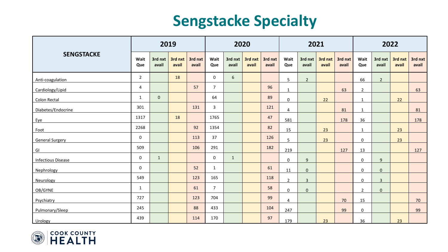#### **Sengstacke Specialty**

| <b>SENGSTACKE</b>         | 2019                |                  |                  |                  |                |                  | 2020             |                  |                     |                  | 2021             |                  | 2022           |                  |                  |                  |  |
|---------------------------|---------------------|------------------|------------------|------------------|----------------|------------------|------------------|------------------|---------------------|------------------|------------------|------------------|----------------|------------------|------------------|------------------|--|
|                           | Wait<br>Que         | 3rd nxt<br>avail | 3rd nxt<br>avail | 3rd nxt<br>avail | Wait<br>Que    | 3rd nxt<br>avail | 3rd nxt<br>avail | 3rd nxt<br>avail | Wait<br>Que         | 3rd nxt<br>avail | 3rd nxt<br>avail | 3rd nxt<br>avail | Wait<br>Que    | 3rd nxt<br>avail | 3rd nxt<br>avail | 3rd nxt<br>avail |  |
| Anti-coagulation          | $\overline{2}$      |                  | 18               |                  | 0              | 6                |                  |                  | 5                   | $\overline{2}$   |                  |                  | 66             | $\overline{2}$   |                  |                  |  |
| Cardiology/Lipid          | 4                   |                  |                  | 57               | $\overline{7}$ |                  |                  | 96               | $\mathbf{1}$        |                  |                  | 63               | $\overline{2}$ |                  |                  | 63               |  |
| Colon Rectal              | $\mathbf{1}$        | $\mathbf 0$      |                  |                  | 64             |                  |                  | 89               | $\mathsf{O}\xspace$ |                  | 22               |                  | $\mathbf{1}$   |                  | 22               |                  |  |
| Diabetes/Endocrine        | 301                 |                  |                  | 131              | $\overline{3}$ |                  |                  | 121              | $\overline{4}$      |                  |                  | 81               | $\mathbf{1}$   |                  |                  | 81               |  |
| Eye                       | 1317                |                  | 18               |                  | 1765           |                  |                  | 47               | 581                 |                  |                  | 178              | 36             |                  |                  | 178              |  |
| Foot                      | 2268                |                  |                  | 92               | 1354           |                  |                  | 82               | 15                  |                  | 23               |                  | $\mathbf{1}$   |                  | 23               |                  |  |
| <b>General Surgery</b>    | $\mathsf 0$         |                  |                  | 113              | 37             |                  |                  | 126              | 5                   |                  | 23               |                  | $\mathbf 0$    |                  | 23               |                  |  |
| $\mathsf{GI}$             | 509                 |                  |                  | 106              | 291            |                  |                  | 182              | 219                 |                  |                  | 127              | 13             |                  |                  | 127              |  |
| <b>Infectious Disease</b> | $\mathbf 0$         | $\mathbf{1}$     |                  |                  | $\mathbf 0$    | $\mathbf{1}$     |                  |                  | $\mathbf 0$         | 9                |                  |                  | $\mathbf 0$    | 9                |                  |                  |  |
| Nephrology                | $\mathsf{O}\xspace$ |                  |                  | 52               | $\mathbf{1}$   |                  |                  | 61               | 11                  | $\mathbf 0$      |                  |                  | $\mathbf 0$    | $\mathbf{0}$     |                  |                  |  |
| <b>Neurology</b>          | 549                 |                  |                  | 123              | 165            |                  |                  | 118              | $\mathbf 2$         | $\overline{3}$   |                  |                  | $\mathbf 0$    | $\mathbf{3}$     |                  |                  |  |
| OB/GYNE                   | $\mathbf{1}$        |                  |                  | 61               | $\overline{7}$ |                  |                  | 58               | 0                   | 0                |                  |                  | $\overline{2}$ | 0                |                  |                  |  |
| Psychiatry                | 727                 |                  |                  | 123              | 704            |                  |                  | 99               | $\overline{4}$      |                  |                  | 70               | 15             |                  |                  | 70               |  |
| Pulmonary/Sleep           | 245                 |                  |                  | 88               | 433            |                  |                  | 104              | 247                 |                  |                  | 99               | $\mathbf 0$    |                  |                  | 99               |  |
| Urology                   | 439                 |                  |                  | 114              | 170            |                  |                  | 97               | 179                 |                  | 23               |                  | 36             |                  | 23               |                  |  |

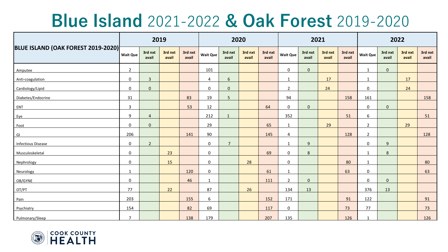## **Blue Island** 2021-2022 **& Oak Forest** 2019-2020

| BLUE ISLAND (OAK FOREST 2019-2020) | 2019                |                  |                  |                  |                  |                  | 2020             |                  |                 | 2021             |                  |                  | 2022            |                  |                  |                  |  |
|------------------------------------|---------------------|------------------|------------------|------------------|------------------|------------------|------------------|------------------|-----------------|------------------|------------------|------------------|-----------------|------------------|------------------|------------------|--|
|                                    | <b>Wait Que</b>     | 3rd nxt<br>avail | 3rd nxt<br>avail | 3rd nxt<br>avail | <b>Wait Que</b>  | 3rd nxt<br>avail | 3rd nxt<br>avail | 3rd nxt<br>avail | <b>Wait Que</b> | 3rd nxt<br>avail | 3rd nxt<br>avail | 3rd nxt<br>avail | <b>Wait Que</b> | 3rd nxt<br>avail | 3rd nxt<br>avail | 3rd nxt<br>avail |  |
| Amputee                            | $\overline{2}$      |                  |                  |                  | 101              |                  |                  |                  | 0               | $\mathbf 0$      |                  |                  | $\mathbf{1}$    | $\mathbf{0}$     |                  |                  |  |
| Anti-coagulation                   | $\mathsf{O}\xspace$ | $\mathbf{3}$     |                  |                  | 4                | 6                |                  |                  | $\mathbf 1$     |                  | 17               |                  | $\mathbf 1$     |                  | 17               |                  |  |
| Cardiology/Lipid                   | $\mathsf{O}\xspace$ | $\mathbf 0$      |                  |                  | $\pmb{0}$        | $\mathbf 0$      |                  |                  | $\overline{2}$  |                  | 24               |                  | $\mathsf 0$     |                  | 24               |                  |  |
| Diabetes/Endocrine                 | 31                  |                  |                  | 83               | 19               | 5                |                  |                  | 94              |                  |                  | 158              | 161             |                  |                  | 158              |  |
| ENT                                | 3                   |                  |                  | 53               | 12               |                  |                  | 64               | $\mathbf 0$     | $\mathbf 0$      |                  |                  | $\mathbf 0$     | $\mathbf 0$      |                  |                  |  |
| Eye                                | $\mathsf g$         | $\overline{4}$   |                  |                  | 212              | $\mathbf{1}$     |                  |                  | 352             |                  |                  | 51               | 6               |                  |                  | 51               |  |
| Foot                               | $\mathbf 0$         | $\mathbf 0$      |                  |                  | 29               |                  |                  | 65               | $\mathbf{1}$    |                  | 29               |                  | $\overline{2}$  |                  | 29               |                  |  |
| GI                                 | 206                 |                  |                  | 141              | 90               |                  |                  | 145              | 4               |                  |                  | 128              | $\overline{2}$  |                  |                  | 128              |  |
| <b>Infectious Disease</b>          | $\mathsf{O}\xspace$ | $\overline{2}$   |                  |                  | $\pmb{0}$        | $\overline{7}$   |                  |                  | $\mathbf{1}$    | $\mathsf g$      |                  |                  | $\mathbf 0$     | 9 <sup>°</sup>   |                  |                  |  |
| Musculoskeletal                    | $\mathsf{O}\xspace$ |                  | 23               |                  | $\pmb{0}$        |                  |                  | 69               | $\pmb{0}$       | 8                |                  |                  | $\mathbf{1}$    | 8                |                  |                  |  |
| Nephrology                         | 0                   |                  | 15               |                  | $\pmb{0}$        |                  | 28               |                  | $\pmb{0}$       |                  |                  | 80               | $\mathbf{1}$    |                  |                  | 80               |  |
| Neurology                          | $\mathbf{1}$        |                  |                  | 120              | $\pmb{0}$        |                  |                  | 61               | $\mathbf 1$     |                  |                  | 63               | $\pmb{0}$       |                  |                  | 63               |  |
| OB/GYNE                            | $\mathsf{O}\xspace$ |                  |                  | 46               | $\mathbf{1}$     |                  |                  | 111              | $\overline{2}$  | $\mathbf{0}$     |                  |                  | $\mathbf 0$     | $\overline{0}$   |                  |                  |  |
| OT/PT                              | 77                  |                  | 22               |                  | 87               |                  | 26               |                  | 134             | 13               |                  |                  | 376             | 13               |                  |                  |  |
| Pain                               | 203                 |                  |                  | 155              | $\boldsymbol{6}$ |                  |                  | 152              | 171             |                  |                  | 91               | 122             |                  |                  | 91               |  |
| Psychiatry                         | 154                 |                  |                  | 82               | 69               |                  |                  | 117              | $\pmb{0}$       |                  |                  | 73               | 77              |                  |                  | 73               |  |
| Pulmonary/Sleep                    | $\overline{7}$      |                  |                  | 138              | 179              |                  |                  | 207              | 135             |                  |                  | 126              | $\mathbf{1}$    |                  |                  | 126              |  |

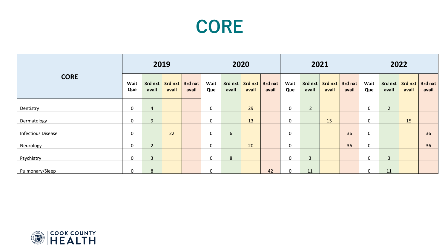### **CORE**

| <b>CORE</b>               | 2019             |                |       |                                                                    | 2020             |                    |       |                              |             | 2021             |       |                              | 2022        |              |                                           |       |  |
|---------------------------|------------------|----------------|-------|--------------------------------------------------------------------|------------------|--------------------|-------|------------------------------|-------------|------------------|-------|------------------------------|-------------|--------------|-------------------------------------------|-------|--|
|                           | Wait<br>Que      | avail          | avail | $3$ rd nxt $\sqrt{3}$ rd nxt $\sqrt{3}$ rd nxt $\sqrt{3}$<br>avail | Wait<br>Que      | $3rd$ nxt<br>avail | avail | $3rd$ nxt $3rd$ nxt<br>avail | Wait<br>Que | 3rd nxt<br>avail | avail | $3rd$ nxt $3rd$ nxt<br>avail | Wait<br>Que | avail        | $3$ rd nxt $3$ rd nxt $3$ rd nxt<br>avail | avail |  |
| Dentistry                 | $\boldsymbol{0}$ | 4              |       |                                                                    | $\mathbf 0$      |                    | 29    |                              | $\mathbf 0$ | $2^{\circ}$      |       |                              | $\mathbf 0$ | $2^{\circ}$  |                                           |       |  |
| Dermatology               | $\mathbf 0$      | 9              |       |                                                                    | $\mathbf 0$      |                    | 13    |                              | $\mathbf 0$ |                  | 15    |                              | $\mathbf 0$ |              | 15                                        |       |  |
| <b>Infectious Disease</b> | $\boldsymbol{0}$ |                | 22    |                                                                    | $\boldsymbol{0}$ | 6                  |       |                              | $\mathbf 0$ |                  |       | 36                           | $\mathbf 0$ |              |                                           | 36    |  |
| Neurology                 | $\mathbf 0$      | $\overline{2}$ |       |                                                                    | $\mathbf 0$      |                    | 20    |                              | $\mathbf 0$ |                  |       | 36                           | $\mathbf 0$ |              |                                           | 36    |  |
| Psychiatry                | $\mathbf 0$      | $\overline{3}$ |       |                                                                    | $\mathbf 0$      | 8                  |       |                              | $\mathbf 0$ | $\mathbf{3}$     |       |                              | $\mathbf 0$ | $\mathbf{3}$ |                                           |       |  |
| Pulmonary/Sleep           | $\mathbf 0$      | 8              |       |                                                                    | $\mathbf 0$      |                    |       | 42                           | $\mathbf 0$ | 11               |       |                              | $\mathbf 0$ | 11           |                                           |       |  |

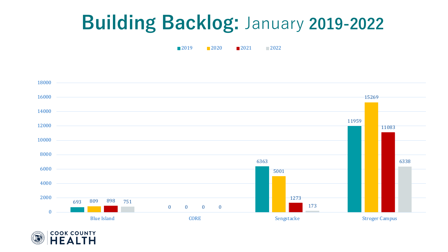## **Building Backlog:** January **2019-2022**

**2019 2020 2021** 2022